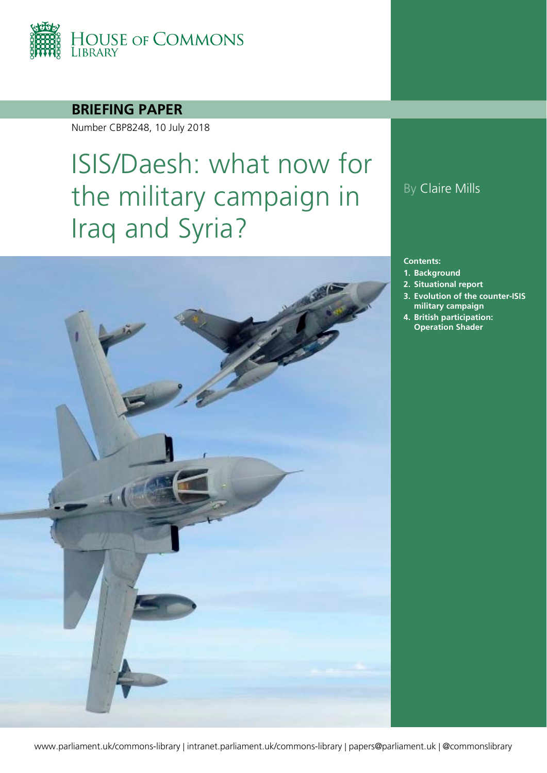

#### **BRIEFING PAPER**

Number CBP8248, 10 July 2018

# ISIS/Daesh: what now for the military campaign in Iraq and Syria?



### By Claire Mills

#### **Contents:**

- **1. [Background](#page-4-0)**
- **2. [Situational report](#page-5-0)**
- **3. [Evolution of the counter-ISIS](#page-8-0)  [military campaign](#page-8-0)**
- **4. [British participation:](#page-14-0)  [Operation Shader](#page-14-0)**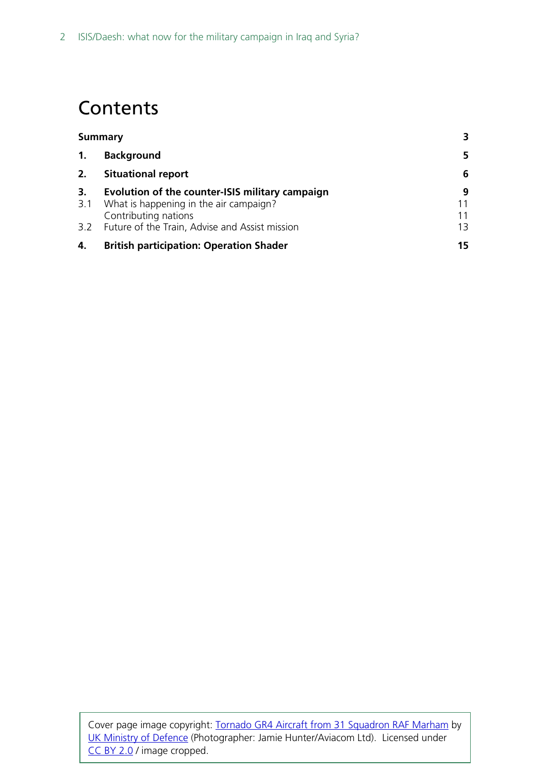# **Contents**

| <b>Summary</b> |                                                                                                                   |    |
|----------------|-------------------------------------------------------------------------------------------------------------------|----|
| 1.             | <b>Background</b>                                                                                                 | 5. |
| 2.             | <b>Situational report</b>                                                                                         | 6  |
| 3.<br>3.1      | Evolution of the counter-ISIS military campaign<br>What is happening in the air campaign?<br>Contributing nations | 9  |
|                | 3.2 Future of the Train, Advise and Assist mission                                                                | 13 |
| 4.             | <b>British participation: Operation Shader</b>                                                                    | 15 |

Cover page image copyright: [Tornado GR4 Aircraft from 31 Squadron RAF Marham](https://www.flickr.com/photos/defenceimages/5793891440/in/photolist-9PZd51-ddgAUN-muvaqH-9wu6mC-gTd98g-ancFYR-pE7YQa-e53Wjf-d3Tfud-mWC7eR-d3Tfcb-dULPaF-dThdBh-cnJLrA-dSzqFu-9wakDT-5QVRe2-awXmPE-mWfSs4-bNjbci-muvafn-bzpw3J-afpAnY-o69x7s-o69x6W-mGqRDp-bDFthy-nP2qXQ-opzg8M-ceaj23-o8mMJh-naiErL-9wakzX-amDQKy-9srSQ6-amDQT1-mRUkft-muvaea-mux3bN-mux3gh-muvarV-8EAAA3-9suS7f-ahN2F5-ahN2Y3-ancFgx-9JZGTs-9srSVz-9wtZiw-afpAgA) by [UK Ministry of Defence](https://www.flickr.com/photos/defenceimages/) (Photographer: Jamie Hunter/Aviacom Ltd). Licensed under [CC BY 2.0](https://creativecommons.org/licenses/by-nc/2.0/) / image cropped.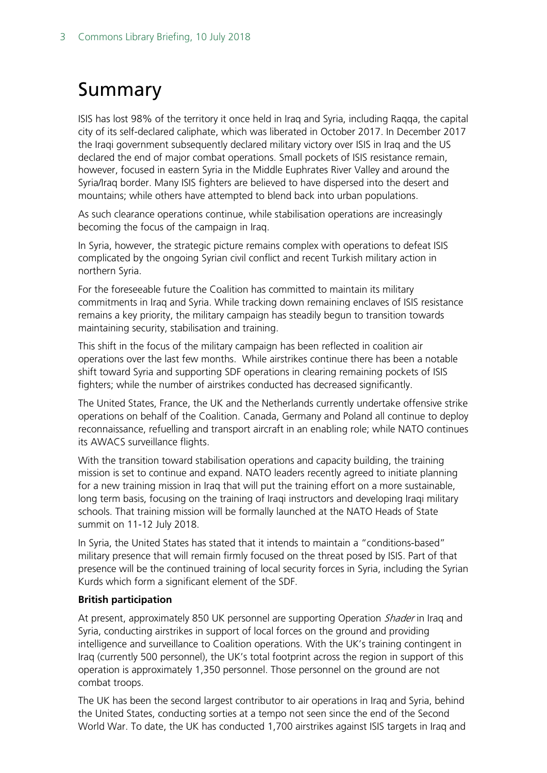# <span id="page-2-0"></span>Summary

ISIS has lost 98% of the territory it once held in Iraq and Syria, including Raqqa, the capital city of its self-declared caliphate, which was liberated in October 2017. In December 2017 the Iraqi government subsequently declared military victory over ISIS in Iraq and the US declared the end of major combat operations. Small pockets of ISIS resistance remain, however, focused in eastern Syria in the Middle Euphrates River Valley and around the Syria/Iraq border. Many ISIS fighters are believed to have dispersed into the desert and mountains; while others have attempted to blend back into urban populations.

As such clearance operations continue, while stabilisation operations are increasingly becoming the focus of the campaign in Iraq.

In Syria, however, the strategic picture remains complex with operations to defeat ISIS complicated by the ongoing Syrian civil conflict and recent Turkish military action in northern Syria.

For the foreseeable future the Coalition has committed to maintain its military commitments in Iraq and Syria. While tracking down remaining enclaves of ISIS resistance remains a key priority, the military campaign has steadily begun to transition towards maintaining security, stabilisation and training.

This shift in the focus of the military campaign has been reflected in coalition air operations over the last few months. While airstrikes continue there has been a notable shift toward Syria and supporting SDF operations in clearing remaining pockets of ISIS fighters; while the number of airstrikes conducted has decreased significantly.

The United States, France, the UK and the Netherlands currently undertake offensive strike operations on behalf of the Coalition. Canada, Germany and Poland all continue to deploy reconnaissance, refuelling and transport aircraft in an enabling role; while NATO continues its AWACS surveillance flights.

With the transition toward stabilisation operations and capacity building, the training mission is set to continue and expand. NATO leaders recently agreed to initiate planning for a new training mission in Iraq that will put the training effort on a more sustainable, long term basis, focusing on the training of Iraqi instructors and developing Iraqi military schools. That training mission will be formally launched at the NATO Heads of State summit on 11-12 July 2018.

In Syria, the United States has stated that it intends to maintain a "conditions-based" military presence that will remain firmly focused on the threat posed by ISIS. Part of that presence will be the continued training of local security forces in Syria, including the Syrian Kurds which form a significant element of the SDF.

#### **British participation**

At present, approximately 850 UK personnel are supporting Operation *Shader* in Irag and Syria, conducting airstrikes in support of local forces on the ground and providing intelligence and surveillance to Coalition operations. With the UK's training contingent in Iraq (currently 500 personnel), the UK's total footprint across the region in support of this operation is approximately 1,350 personnel. Those personnel on the ground are not combat troops.

The UK has been the second largest contributor to air operations in Iraq and Syria, behind the United States, conducting sorties at a tempo not seen since the end of the Second World War. To date, the UK has conducted 1,700 airstrikes against ISIS targets in Iraq and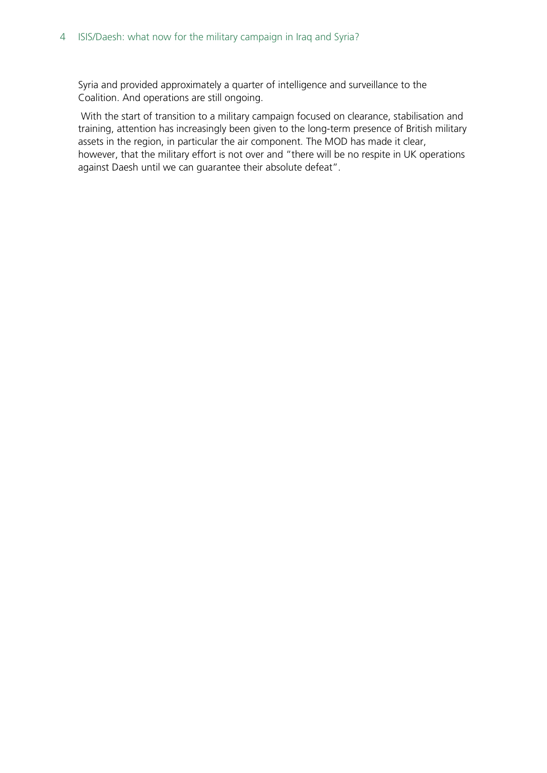Syria and provided approximately a quarter of intelligence and surveillance to the Coalition. And operations are still ongoing.

With the start of transition to a military campaign focused on clearance, stabilisation and training, attention has increasingly been given to the long-term presence of British military assets in the region, in particular the air component. The MOD has made it clear, however, that the military effort is not over and "there will be no respite in UK operations against Daesh until we can guarantee their absolute defeat".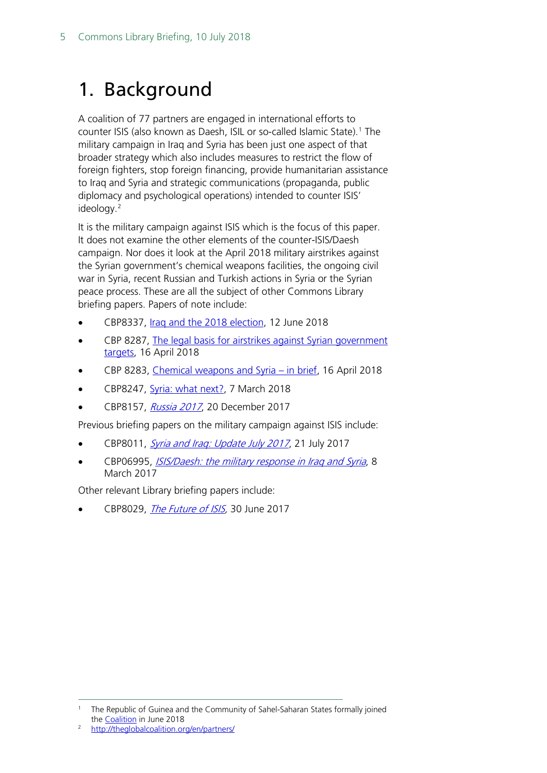# <span id="page-4-0"></span>1. Background

A coalition of 77 partners are engaged in international efforts to counter ISIS (also known as Daesh, ISIL or so-called Islamic State)[.1](#page-4-1) The military campaign in Iraq and Syria has been just one aspect of that broader strategy which also includes measures to restrict the flow of foreign fighters, stop foreign financing, provide humanitarian assistance to Iraq and Syria and strategic communications (propaganda, public diplomacy and psychological operations) intended to counter ISIS' ideology.<sup>[2](#page-4-2)</sup>

It is the military campaign against ISIS which is the focus of this paper. It does not examine the other elements of the counter-ISIS/Daesh campaign. Nor does it look at the April 2018 military airstrikes against the Syrian government's chemical weapons facilities, the ongoing civil war in Syria, recent Russian and Turkish actions in Syria or the Syrian peace process. These are all the subject of other Commons Library briefing papers. Papers of note include:

- CBP8337, [Iraq and the 2018 election,](https://researchbriefings.parliament.uk/ResearchBriefing/Summary/CBP-8337) 12 June 2018
- CBP 8287, [The legal basis for airstrikes against Syrian government](https://researchbriefings.parliament.uk/ResearchBriefing/Summary/CBP-8287)  [targets,](https://researchbriefings.parliament.uk/ResearchBriefing/Summary/CBP-8287) 16 April 2018
- CBP 8283, [Chemical weapons and Syria –](http://researchbriefings.files.parliament.uk/documents/CBP-8283/CBP-8283.pdf) in brief, 16 April 2018
- CBP8247, [Syria: what next?,](https://researchbriefings.parliament.uk/ResearchBriefing/Summary/CBP-8247) 7 March 2018
- CBP8157, [Russia 2017](http://researchbriefings.files.parliament.uk/documents/CBP-8157/CBP-8157.pdf), 20 December 2017

Previous briefing papers on the military campaign against ISIS include:

- CBP8011, Syria and Irag: Update July 2017, 21 July 2017
- CBP06995, *[ISIS/Daesh: the military response in Iraq and Syria](http://researchbriefings.files.parliament.uk/documents/SN06995/SN06995.pdf)*, 8 March 2017

Other relevant Library briefing papers include:

CBP8029, [The Future of ISIS,](http://researchbriefings.files.parliament.uk/documents/CBP-8029/CBP-8029.pdf) 30 June 2017

<span id="page-4-1"></span>The Republic of Guinea and the Community of Sahel-Saharan States formally joined the Coalition in June 2018<br><http://theglobalcoalition.org/en/partners/>

<span id="page-4-2"></span>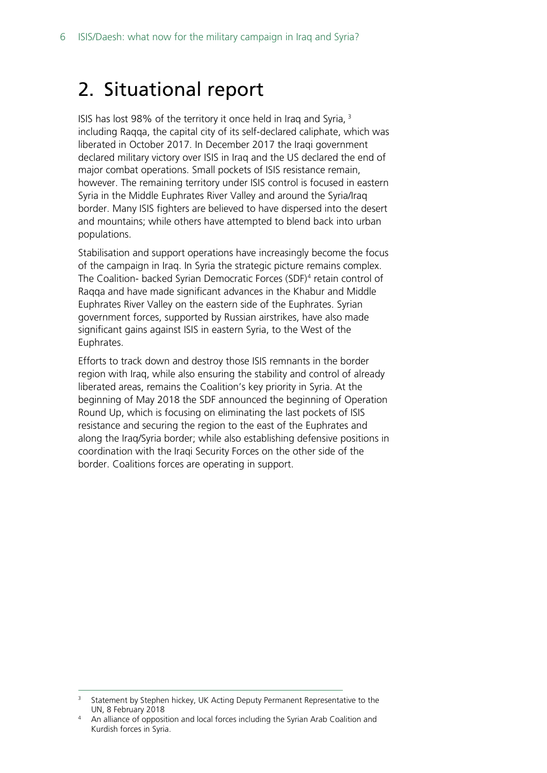## <span id="page-5-0"></span>2. Situational report

ISIS has lost 98% of the territory it once held in Iraq and Syria, [3](#page-5-1) including Raqqa, the capital city of its self-declared caliphate, which was liberated in October 2017. In December 2017 the Iraqi government declared military victory over ISIS in Iraq and the US declared the end of major combat operations. Small pockets of ISIS resistance remain, however. The remaining territory under ISIS control is focused in eastern Syria in the Middle Euphrates River Valley and around the Syria/Iraq border. Many ISIS fighters are believed to have dispersed into the desert and mountains; while others have attempted to blend back into urban populations.

Stabilisation and support operations have increasingly become the focus of the campaign in Iraq. In Syria the strategic picture remains complex. The Coalition- backed Syrian Democratic Forces (SDF)[4](#page-5-2) retain control of Raqqa and have made significant advances in the Khabur and Middle Euphrates River Valley on the eastern side of the Euphrates. Syrian government forces, supported by Russian airstrikes, have also made significant gains against ISIS in eastern Syria, to the West of the Euphrates.

Efforts to track down and destroy those ISIS remnants in the border region with Iraq, while also ensuring the stability and control of already liberated areas, remains the Coalition's key priority in Syria. At the beginning of May 2018 the SDF announced the beginning of Operation Round Up, which is focusing on eliminating the last pockets of ISIS resistance and securing the region to the east of the Euphrates and along the Iraq/Syria border; while also establishing defensive positions in coordination with the Iraqi Security Forces on the other side of the border. Coalitions forces are operating in support.

<span id="page-5-1"></span>Statement by Stephen hickey, UK Acting Deputy Permanent Representative to the UN, 8 February 2018

<span id="page-5-2"></span><sup>&</sup>lt;sup>4</sup> An alliance of opposition and local forces including the Syrian Arab Coalition and Kurdish forces in Syria.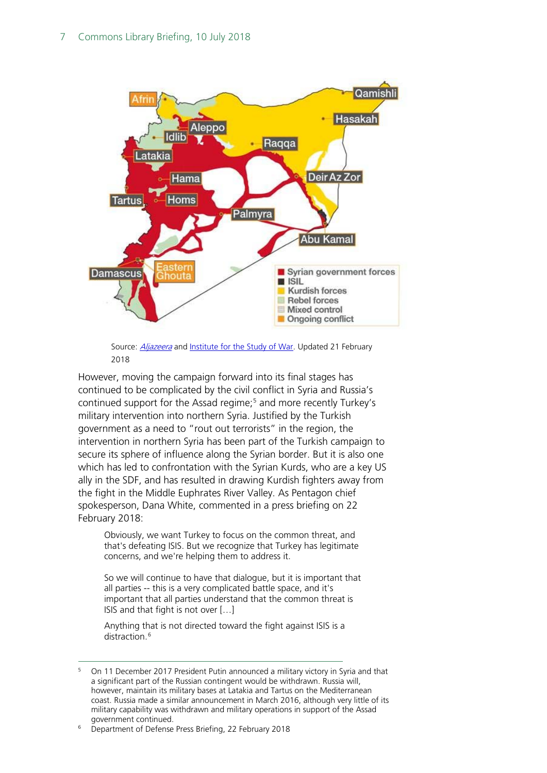

Source: **[Aljazeera](https://www.aljazeera.com/indepth/interactive/2015/05/syria-country-divided-150529144229467.html)** an[d Institute for the Study of War.](http://www.understandingwar.org/project/syria-project) Updated 21 February 2018

However, moving the campaign forward into its final stages has continued to be complicated by the civil conflict in Syria and Russia's continued support for the Assad regime;<sup>[5](#page-6-0)</sup> and more recently Turkey's military intervention into northern Syria. Justified by the Turkish government as a need to "rout out terrorists" in the region, the intervention in northern Syria has been part of the Turkish campaign to secure its sphere of influence along the Syrian border. But it is also one which has led to confrontation with the Syrian Kurds, who are a key US ally in the SDF, and has resulted in drawing Kurdish fighters away from the fight in the Middle Euphrates River Valley. As Pentagon chief spokesperson, Dana White, commented in a press briefing on 22 February 2018:

Obviously, we want Turkey to focus on the common threat, and that's defeating ISIS. But we recognize that Turkey has legitimate concerns, and we're helping them to address it.

So we will continue to have that dialogue, but it is important that all parties -- this is a very complicated battle space, and it's important that all parties understand that the common threat is ISIS and that fight is not over […]

Anything that is not directed toward the fight against ISIS is a distraction.<sup>[6](#page-6-1)</sup>

<span id="page-6-0"></span> <sup>5</sup> On 11 December 2017 President Putin announced a military victory in Syria and that a significant part of the Russian contingent would be withdrawn. Russia will, however, maintain its military bases at Latakia and Tartus on the Mediterranean coast. Russia made a similar announcement in March 2016, although very little of its military capability was withdrawn and military operations in support of the Assad government continued. 6 Department of Defense Press Briefing, 22 February 2018

<span id="page-6-1"></span>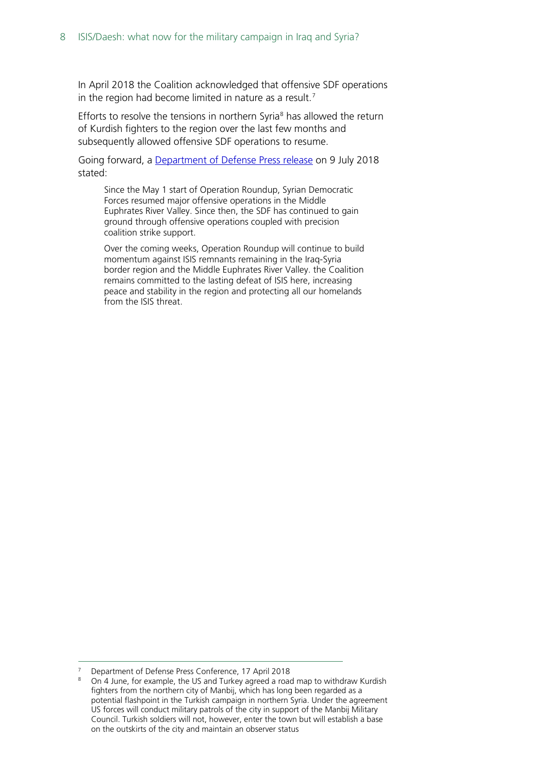In April 2018 the Coalition acknowledged that offensive SDF operations in the region had become limited in nature as a result.<sup>[7](#page-7-0)</sup>

Efforts to resolve the tensions in northern Syria $<sup>8</sup>$  $<sup>8</sup>$  $<sup>8</sup>$  has allowed the return</sup> of Kurdish fighters to the region over the last few months and subsequently allowed offensive SDF operations to resume.

Going forward, a [Department of Defense Press release](https://www.defense.gov/News/Article/Article/1569332/coalition-strikes-continue-against-isis-targets-in-syria-iraq/) on 9 July 2018 stated:

Since the May 1 start of Operation Roundup, Syrian Democratic Forces resumed major offensive operations in the Middle Euphrates River Valley. Since then, the SDF has continued to gain ground through offensive operations coupled with precision coalition strike support.

Over the coming weeks, Operation Roundup will continue to build momentum against ISIS remnants remaining in the Iraq-Syria border region and the Middle Euphrates River Valley. the Coalition remains committed to the lasting defeat of ISIS here, increasing peace and stability in the region and protecting all our homelands from the ISIS threat.

<span id="page-7-1"></span><span id="page-7-0"></span>

Department of Defense Press Conference, 17 April 2018<br>On 4 June, for example, the US and Turkey agreed a road map to withdraw Kurdish fighters from the northern city of Manbij, which has long been regarded as a potential flashpoint in the Turkish campaign in northern Syria. Under the agreement US forces will conduct military patrols of the city in support of the Manbij Military Council. Turkish soldiers will not, however, enter the town but will establish a base on the outskirts of the city and maintain an observer status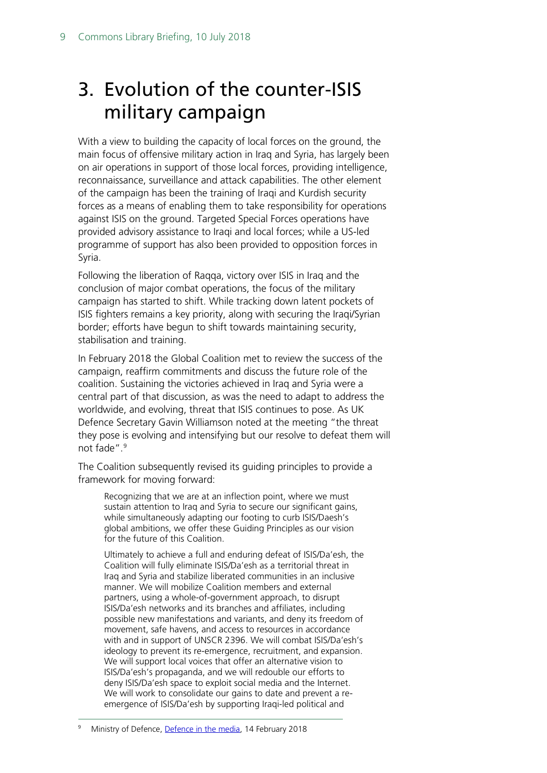# <span id="page-8-0"></span>3. Evolution of the counter-ISIS military campaign

With a view to building the capacity of local forces on the ground, the main focus of offensive military action in Iraq and Syria, has largely been on air operations in support of those local forces, providing intelligence, reconnaissance, surveillance and attack capabilities. The other element of the campaign has been the training of Iraqi and Kurdish security forces as a means of enabling them to take responsibility for operations against ISIS on the ground. Targeted Special Forces operations have provided advisory assistance to Iraqi and local forces; while a US-led programme of support has also been provided to opposition forces in Syria.

Following the liberation of Raqqa, victory over ISIS in Iraq and the conclusion of major combat operations, the focus of the military campaign has started to shift. While tracking down latent pockets of ISIS fighters remains a key priority, along with securing the Iraqi/Syrian border; efforts have begun to shift towards maintaining security, stabilisation and training.

In February 2018 the Global Coalition met to review the success of the campaign, reaffirm commitments and discuss the future role of the coalition. Sustaining the victories achieved in Iraq and Syria were a central part of that discussion, as was the need to adapt to address the worldwide, and evolving, threat that ISIS continues to pose. As UK Defence Secretary Gavin Williamson noted at the meeting "the threat they pose is evolving and intensifying but our resolve to defeat them will not fade".<sup>[9](#page-8-1)</sup>

The Coalition subsequently revised its guiding principles to provide a framework for moving forward:

Recognizing that we are at an inflection point, where we must sustain attention to Iraq and Syria to secure our significant gains, while simultaneously adapting our footing to curb ISIS/Daesh's global ambitions, we offer these Guiding Principles as our vision for the future of this Coalition.

Ultimately to achieve a full and enduring defeat of ISIS/Da'esh, the Coalition will fully eliminate ISIS/Da'esh as a territorial threat in Iraq and Syria and stabilize liberated communities in an inclusive manner. We will mobilize Coalition members and external partners, using a whole-of-government approach, to disrupt ISIS/Da'esh networks and its branches and affiliates, including possible new manifestations and variants, and deny its freedom of movement, safe havens, and access to resources in accordance with and in support of UNSCR 2396. We will combat ISIS/Da'esh's ideology to prevent its re-emergence, recruitment, and expansion. We will support local voices that offer an alternative vision to ISIS/Da'esh's propaganda, and we will redouble our efforts to deny ISIS/Da'esh space to exploit social media and the Internet. We will work to consolidate our gains to date and prevent a reemergence of ISIS/Da'esh by supporting Iraqi-led political and

<span id="page-8-1"></span> <sup>9</sup> Ministry of Defence, [Defence in the media,](https://modmedia.blog.gov.uk/2018/02/14/defence-in-the-media-wednesday-14-february-2018/) 14 February <sup>2018</sup>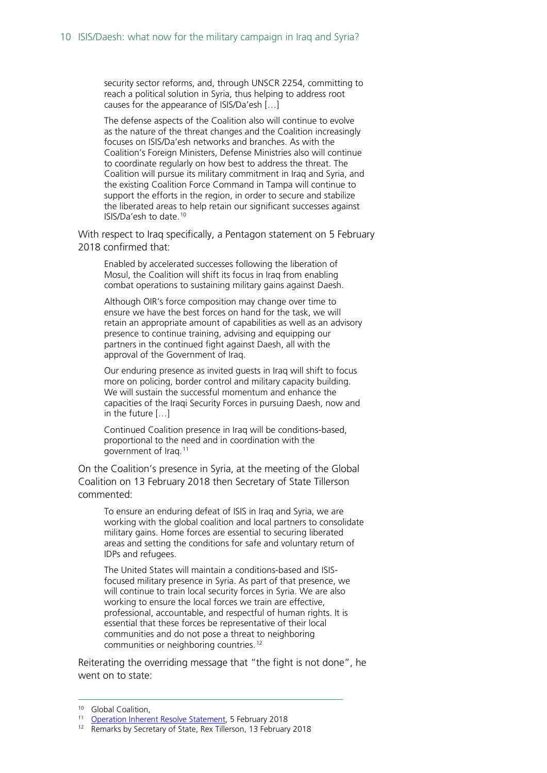security sector reforms, and, through UNSCR 2254, committing to reach a political solution in Syria, thus helping to address root causes for the appearance of ISIS/Da'esh […]

The defense aspects of the Coalition also will continue to evolve as the nature of the threat changes and the Coalition increasingly focuses on ISIS/Da'esh networks and branches. As with the Coalition's Foreign Ministers, Defense Ministries also will continue to coordinate regularly on how best to address the threat. The Coalition will pursue its military commitment in Iraq and Syria, and the existing Coalition Force Command in Tampa will continue to support the efforts in the region, in order to secure and stabilize the liberated areas to help retain our significant successes against ISIS/Da'esh to date.[10](#page-9-0)

With respect to Iraq specifically, a Pentagon statement on 5 February 2018 confirmed that:

Enabled by accelerated successes following the liberation of Mosul, the Coalition will shift its focus in Iraq from enabling combat operations to sustaining military gains against Daesh.

Although OIR's force composition may change over time to ensure we have the best forces on hand for the task, we will retain an appropriate amount of capabilities as well as an advisory presence to continue training, advising and equipping our partners in the continued fight against Daesh, all with the approval of the Government of Iraq.

Our enduring presence as invited guests in Iraq will shift to focus more on policing, border control and military capacity building. We will sustain the successful momentum and enhance the capacities of the Iraqi Security Forces in pursuing Daesh, now and in the future […]

Continued Coalition presence in Iraq will be conditions-based, proportional to the need and in coordination with the government of Iraq.[11](#page-9-1)

On the Coalition's presence in Syria, at the meeting of the Global Coalition on 13 February 2018 then Secretary of State Tillerson commented:

To ensure an enduring defeat of ISIS in Iraq and Syria, we are working with the global coalition and local partners to consolidate military gains. Home forces are essential to securing liberated areas and setting the conditions for safe and voluntary return of IDPs and refugees.

The United States will maintain a conditions-based and ISISfocused military presence in Syria. As part of that presence, we will continue to train local security forces in Syria. We are also working to ensure the local forces we train are effective, professional, accountable, and respectful of human rights. It is essential that these forces be representative of their local communities and do not pose a threat to neighboring communities or neighboring countries.[12](#page-9-2)

Reiterating the overriding message that "the fight is not done", he went on to state:

<span id="page-9-2"></span><span id="page-9-1"></span><span id="page-9-0"></span><sup>&</sup>lt;sup>10</sup> Global Coalition,<br><sup>11</sup> [Operation Inherent Resolve Statement,](http://www.inherentresolve.mil/News/News-Releases/Article/1432636/coalition-announces-shift-in-focus-as-iraq-campaign-progresses/) 5 February 2018<br><sup>12</sup> Remarks by Secretary of State, Rex Tillerson, 13 February 2018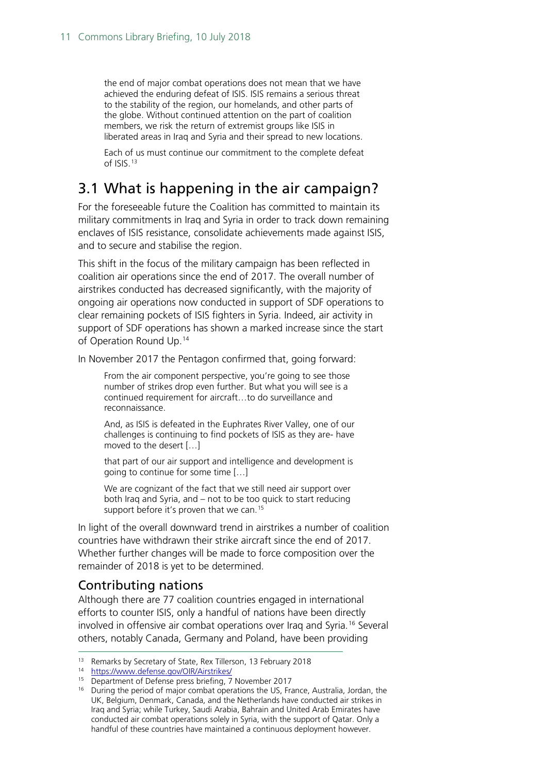the end of major combat operations does not mean that we have achieved the enduring defeat of ISIS. ISIS remains a serious threat to the stability of the region, our homelands, and other parts of the globe. Without continued attention on the part of coalition members, we risk the return of extremist groups like ISIS in liberated areas in Iraq and Syria and their spread to new locations.

Each of us must continue our commitment to the complete defeat of ISIS.[13](#page-10-2)

### <span id="page-10-0"></span>3.1 What is happening in the air campaign?

For the foreseeable future the Coalition has committed to maintain its military commitments in Iraq and Syria in order to track down remaining enclaves of ISIS resistance, consolidate achievements made against ISIS, and to secure and stabilise the region.

This shift in the focus of the military campaign has been reflected in coalition air operations since the end of 2017. The overall number of airstrikes conducted has decreased significantly, with the majority of ongoing air operations now conducted in support of SDF operations to clear remaining pockets of ISIS fighters in Syria. Indeed, air activity in support of SDF operations has shown a marked increase since the start of Operation Round Up.<sup>14</sup>

In November 2017 the Pentagon confirmed that, going forward:

From the air component perspective, you're going to see those number of strikes drop even further. But what you will see is a continued requirement for aircraft…to do surveillance and reconnaissance.

And, as ISIS is defeated in the Euphrates River Valley, one of our challenges is continuing to find pockets of ISIS as they are- have moved to the desert […]

that part of our air support and intelligence and development is going to continue for some time […]

We are cognizant of the fact that we still need air support over both Iraq and Syria, and – not to be too quick to start reducing support before it's proven that we can.<sup>[15](#page-10-4)</sup>

In light of the overall downward trend in airstrikes a number of coalition countries have withdrawn their strike aircraft since the end of 2017. Whether further changes will be made to force composition over the remainder of 2018 is yet to be determined.

#### <span id="page-10-1"></span>Contributing nations

Although there are 77 coalition countries engaged in international efforts to counter ISIS, only a handful of nations have been directly involved in offensive air combat operations over Iraq and Syria.[16](#page-10-5) Several others, notably Canada, Germany and Poland, have been providing

<span id="page-10-3"></span><span id="page-10-2"></span>13 Remarks by Secretary of State, Rex Tillerson, 13 February 2018

<span id="page-10-5"></span><span id="page-10-4"></span><sup>16</sup> During the period of major combat operations the US, France, Australia, Jordan, the UK, Belgium, Denmark, Canada, and the Netherlands have conducted air strikes in Iraq and Syria; while Turkey, Saudi Arabia, Bahrain and United Arab Emirates have conducted air combat operations solely in Syria, with the support of Qatar. Only a handful of these countries have maintained a continuous deployment however.

<sup>&</sup>lt;sup>14</sup> <https://www.defense.gov/OIR/Airstrikes/><br><sup>15</sup> Department of Defense press briefing, 7 November 2017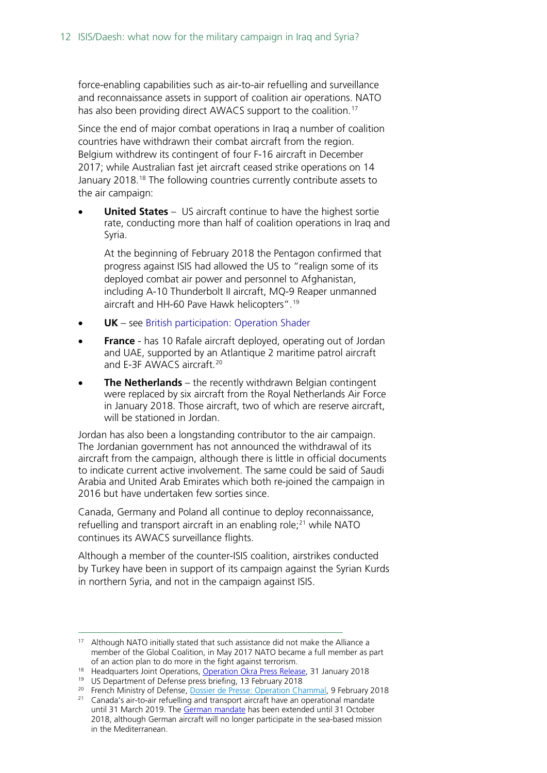force-enabling capabilities such as air-to-air refuelling and surveillance and reconnaissance assets in support of coalition air operations. NATO has also been providing direct AWACS support to the coalition. [17](#page-11-0)

Since the end of major combat operations in Iraq a number of coalition countries have withdrawn their combat aircraft from the region. Belgium withdrew its contingent of four F-16 aircraft in December 2017; while Australian fast jet aircraft ceased strike operations on 14 January 20[18](#page-11-1).<sup>18</sup> The following countries currently contribute assets to the air campaign:

**United States** – US aircraft continue to have the highest sortie rate, conducting more than half of coalition operations in Iraq and Syria.

At the beginning of February 2018 the Pentagon confirmed that progress against ISIS had allowed the US to "realign some of its deployed combat air power and personnel to Afghanistan, including A-10 Thunderbolt II aircraft, MQ-9 Reaper unmanned aircraft and HH-60 Pave Hawk helicopters".[19](#page-11-2)

- **UK** see [British participation: Operation Shader](#page-14-0)
- **France** has 10 Rafale aircraft deployed, operating out of Jordan and UAE, supported by an Atlantique 2 maritime patrol aircraft and E-3F AWACS aircraft.<sup>[20](#page-11-3)</sup>
- **The Netherlands** the recently withdrawn Belgian contingent were replaced by six aircraft from the Royal Netherlands Air Force in January 2018. Those aircraft, two of which are reserve aircraft, will be stationed in Jordan.

Jordan has also been a longstanding contributor to the air campaign. The Jordanian government has not announced the withdrawal of its aircraft from the campaign, although there is little in official documents to indicate current active involvement. The same could be said of Saudi Arabia and United Arab Emirates which both re-joined the campaign in 2016 but have undertaken few sorties since.

Canada, Germany and Poland all continue to deploy reconnaissance, refuelling and transport aircraft in an enabling role;<sup>[21](#page-11-4)</sup> while NATO continues its AWACS surveillance flights.

Although a member of the counter-ISIS coalition, airstrikes conducted by Turkey have been in support of its campaign against the Syrian Kurds in northern Syria, and not in the campaign against ISIS.

<span id="page-11-0"></span> <sup>17</sup> Although NATO initially stated that such assistance did not make the Alliance a member of the Global Coalition, in May 2017 NATO became a full member as part

<span id="page-11-1"></span>of an action plan to do more in the fight against terrorism.<br><sup>18</sup> Headquarters Joint Operations, <u>Operation Okra Press Release</u>, 31 January 2018<br><sup>19</sup> US Department of Defense press briefing, 13 February 2018

<span id="page-11-4"></span><span id="page-11-3"></span><span id="page-11-2"></span><sup>&</sup>lt;sup>20</sup> French Ministry of Defense, [Dossier de Presse: Operation Chammal,](https://www.defense.gouv.fr/english/operations/operations/irak-syrie/dossier-de-presentation-de-l-operation-chammal/operation-chammal) 9 February 2018 <sup>21</sup> Canada's air-to-air refuelling and transport aircraft have an operational mandate until 31 March 2019. The [German mandate](https://www.bundesregierung.de/Content/EN/Artikel/2018/03_en/2018-03-06-bundeswehrmandat-irak_en.html) has been extended until 31 October 2018, although German aircraft will no longer participate in the sea-based mission in the Mediterranean.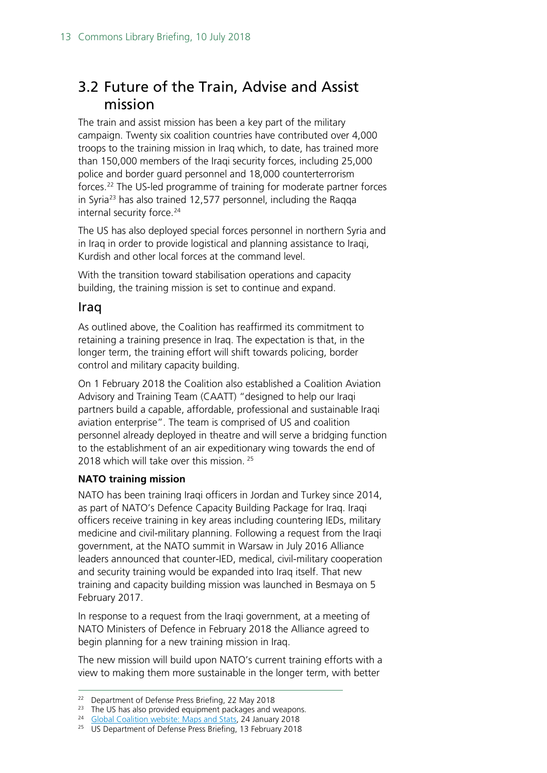### <span id="page-12-0"></span>3.2 Future of the Train, Advise and Assist mission

The train and assist mission has been a key part of the military campaign. Twenty six coalition countries have contributed over 4,000 troops to the training mission in Iraq which, to date, has trained more than 150,000 members of the Iraqi security forces, including 25,000 police and border guard personnel and 18,000 counterterrorism forces. [22](#page-12-1) The US-led programme of training for moderate partner forces in Syria[23](#page-12-2) has also trained 12,577 personnel, including the Raqqa internal security force.<sup>24</sup>

The US has also deployed special forces personnel in northern Syria and in Iraq in order to provide logistical and planning assistance to Iraqi, Kurdish and other local forces at the command level.

With the transition toward stabilisation operations and capacity building, the training mission is set to continue and expand.

#### Iraq

As outlined above, the Coalition has reaffirmed its commitment to retaining a training presence in Iraq. The expectation is that, in the longer term, the training effort will shift towards policing, border control and military capacity building.

On 1 February 2018 the Coalition also established a Coalition Aviation Advisory and Training Team (CAATT) "designed to help our Iraqi partners build a capable, affordable, professional and sustainable Iraqi aviation enterprise". The team is comprised of US and coalition personnel already deployed in theatre and will serve a bridging function to the establishment of an air expeditionary wing towards the end of 2018 which will take over this mission.<sup>[25](#page-12-4)</sup>

#### **NATO training mission**

NATO has been training Iraqi officers in Jordan and Turkey since 2014, as part of NATO's Defence Capacity Building Package for Iraq. Iraqi officers receive training in key areas including countering IEDs, military medicine and civil-military planning. Following a request from the Iraqi government, at the NATO summit in Warsaw in July 2016 Alliance leaders announced that counter-IED, medical, civil-military cooperation and security training would be expanded into Iraq itself. That new training and capacity building mission was launched in Besmaya on 5 February 2017.

In response to a request from the Iraqi government, at a meeting of NATO Ministers of Defence in February 2018 the Alliance agreed to begin planning for a new training mission in Iraq.

The new mission will build upon NATO's current training efforts with a view to making them more sustainable in the longer term, with better

<span id="page-12-2"></span><span id="page-12-1"></span><sup>&</sup>lt;sup>22</sup> Department of Defense Press Briefing, 22 May 2018<br><sup>23</sup> The US has also provided equipment packages and weapons.<br><sup>24</sup> [Global Coalition website: Maps and Stats,](http://theglobalcoalition.org/en/maps-stats/) 24 January 2018<br><sup>25</sup> US Department of Defense Press Brief

<span id="page-12-4"></span><span id="page-12-3"></span>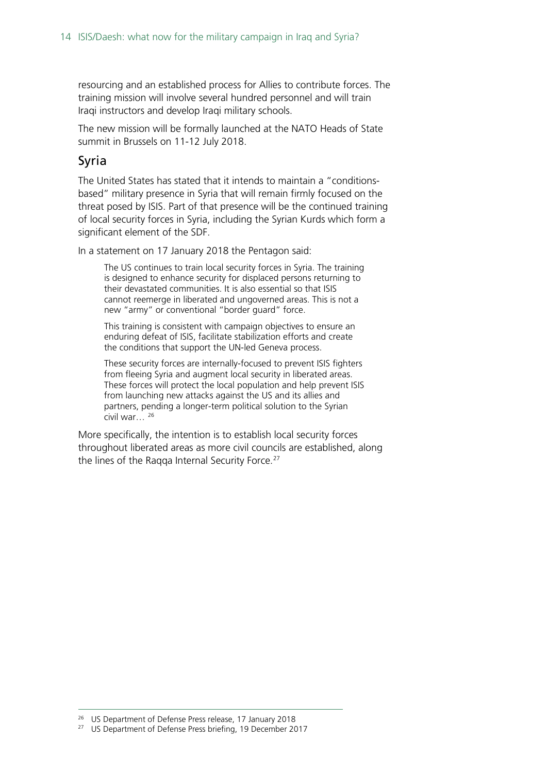resourcing and an established process for Allies to contribute forces. The training mission will involve several hundred personnel and will train Iraqi instructors and develop Iraqi military schools.

The new mission will be formally launched at the NATO Heads of State summit in Brussels on 11-12 July 2018.

#### Syria

The United States has stated that it intends to maintain a "conditionsbased" military presence in Syria that will remain firmly focused on the threat posed by ISIS. Part of that presence will be the continued training of local security forces in Syria, including the Syrian Kurds which form a significant element of the SDF.

In a statement on 17 January 2018 the Pentagon said:

The US continues to train local security forces in Syria. The training is designed to enhance security for displaced persons returning to their devastated communities. It is also essential so that ISIS cannot reemerge in liberated and ungoverned areas. This is not a new "army" or conventional "border guard" force.

This training is consistent with campaign objectives to ensure an enduring defeat of ISIS, facilitate stabilization efforts and create the conditions that support the UN-led Geneva process.

These security forces are internally-focused to prevent ISIS fighters from fleeing Syria and augment local security in liberated areas. These forces will protect the local population and help prevent ISIS from launching new attacks against the US and its allies and partners, pending a longer-term political solution to the Syrian civil war… [26](#page-13-0)

More specifically, the intention is to establish local security forces throughout liberated areas as more civil councils are established, along the lines of the Ragga Internal Security Force. $27$ 

<span id="page-13-0"></span><sup>&</sup>lt;sup>26</sup> US Department of Defense Press release, 17 January 2018<br><sup>27</sup> US Department of Defense Press briefing, 19 December 2017

<span id="page-13-1"></span>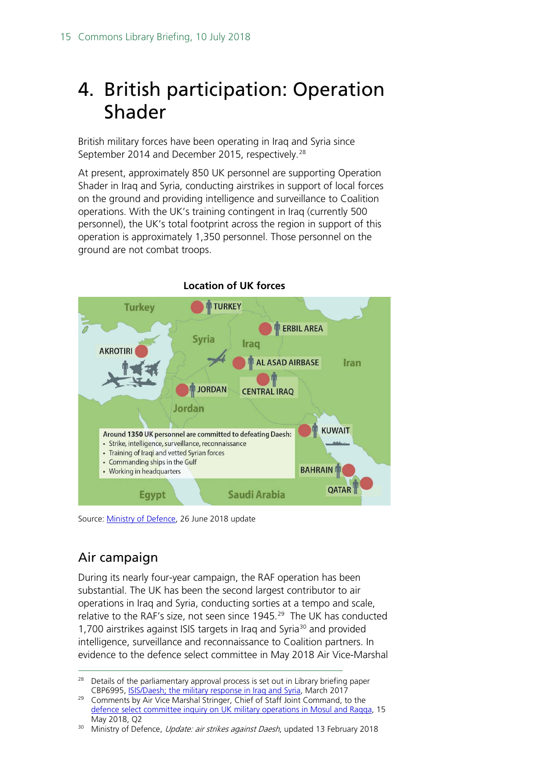### <span id="page-14-0"></span>4. British participation: Operation Shader

British military forces have been operating in Iraq and Syria since September 2014 and December 2015, respectively.<sup>[28](#page-14-1)</sup>

At present, approximately 850 UK personnel are supporting Operation Shader in Iraq and Syria, conducting airstrikes in support of local forces on the ground and providing intelligence and surveillance to Coalition operations. With the UK's training contingent in Iraq (currently 500 personnel), the UK's total footprint across the region in support of this operation is approximately 1,350 personnel. Those personnel on the ground are not combat troops.



Source: [Ministry of Defence,](https://www.gov.uk/government/news/update-air-strikes-against-daesh) 26 June 2018 update

### Air campaign

During its nearly four-year campaign, the RAF operation has been substantial. The UK has been the second largest contributor to air operations in Iraq and Syria, conducting sorties at a tempo and scale, relative to the RAF's size, not seen since  $1945<sup>29</sup>$  $1945<sup>29</sup>$  $1945<sup>29</sup>$  The UK has conducted 1,700 airstrikes against ISIS targets in Irag and Syria<sup>30</sup> and provided intelligence, surveillance and reconnaissance to Coalition partners. In evidence to the defence select committee in May 2018 Air Vice-Marshal

<span id="page-14-1"></span><sup>&</sup>lt;sup>28</sup> Details of the parliamentary approval process is set out in Library briefing paper CBP6995, [ISIS/Daesh; the military response in Iraq and Syria,](https://researchbriefings.parliament.uk/ResearchBriefing/Summary/SN06995) March 2017

<span id="page-14-2"></span><sup>&</sup>lt;sup>29</sup> Comments by Air Vice Marshal Stringer, Chief of Staff Joint Command, to the [defence select committee inquiry on UK military operations in Mosul and Raqqa,](http://data.parliament.uk/writtenevidence/committeeevidence.svc/evidencedocument/defence-committee/uk-military-operations-in-mosul-and-raqqa/oral/82916.html) 15 May 2018, Q2

<span id="page-14-3"></span><sup>&</sup>lt;sup>30</sup> Ministry of Defence, *Update: air strikes against Daesh*, updated 13 February 2018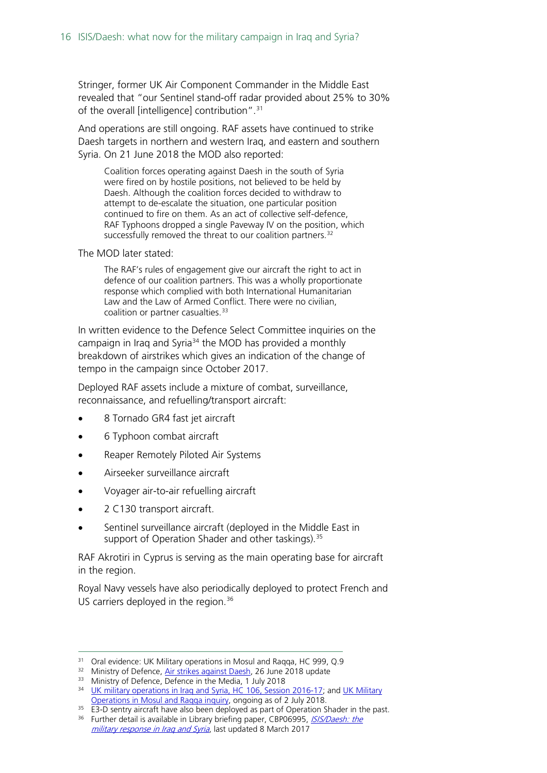Stringer, former UK Air Component Commander in the Middle East revealed that "our Sentinel stand-off radar provided about 25% to 30% of the overall [intelligence] contribution". [31](#page-15-0)

And operations are still ongoing. RAF assets have continued to strike Daesh targets in northern and western Iraq, and eastern and southern Syria. On 21 June 2018 the MOD also reported:

Coalition forces operating against Daesh in the south of Syria were fired on by hostile positions, not believed to be held by Daesh. Although the coalition forces decided to withdraw to attempt to de-escalate the situation, one particular position continued to fire on them. As an act of collective self-defence, RAF Typhoons dropped a single Paveway IV on the position, which successfully removed the threat to our coalition partners.<sup>[32](#page-15-1)</sup>

The MOD later stated:

The RAF's rules of engagement give our aircraft the right to act in defence of our coalition partners. This was a wholly proportionate response which complied with both International Humanitarian Law and the Law of Armed Conflict. There were no civilian, coalition or partner casualties.<sup>[33](#page-15-2)</sup>

In written evidence to the Defence Select Committee inquiries on the campaign in Iraq and Syria<sup>[34](#page-15-3)</sup> the MOD has provided a monthly breakdown of airstrikes which gives an indication of the change of tempo in the campaign since October 2017.

Deployed RAF assets include a mixture of combat, surveillance, reconnaissance, and refuelling/transport aircraft:

- 8 Tornado GR4 fast jet aircraft
- 6 Typhoon combat aircraft
- Reaper Remotely Piloted Air Systems
- Airseeker surveillance aircraft
- Voyager air-to-air refuelling aircraft
- 2 C130 transport aircraft.
- Sentinel surveillance aircraft (deployed in the Middle East in support of Operation Shader and other taskings).<sup>[35](#page-15-4)</sup>

RAF Akrotiri in Cyprus is serving as the main operating base for aircraft in the region.

Royal Navy vessels have also periodically deployed to protect French and US carriers deployed in the region.<sup>[36](#page-15-5)</sup>

<span id="page-15-0"></span><sup>&</sup>lt;sup>31</sup> Oral evidence: UK Military operations in Mosul and Raqqa, HC 999, Q.9<br><sup>32</sup> Ministry of Defence, <u>Air strikes against Daesh</u>, 26 June 2018 update

<span id="page-15-3"></span><span id="page-15-2"></span><span id="page-15-1"></span><sup>&</sup>lt;sup>33</sup> Ministry of Defence, Defence in the Media, 1 July 2018<br><sup>34</sup> [UK military operations in Iraq and Syria, HC 106, Session 2016-17;](https://publications.parliament.uk/pa/cm201617/cmselect/cmdfence/106/106.pdf) and UK Military [Operations in Mosul and Raqqa inquiry,](https://www.parliament.uk/business/committees/committees-a-z/commons-select/defence-committee/inquiries/parliament-2017/inquiry11/) ongoing as of 2 July 2018.

<span id="page-15-5"></span><span id="page-15-4"></span><sup>&</sup>lt;sup>35</sup> E3-D sentry aircraft have also been deployed as part of Operation Shader in the past.<br><sup>36</sup> Further detail is available in Library briefing paper, CBP06995, *ISIS/Daesh: the* [military response in Iraq and Syria](http://researchbriefings.parliament.uk/ResearchBriefing/Summary/CBP-8011), last updated 8 March 2017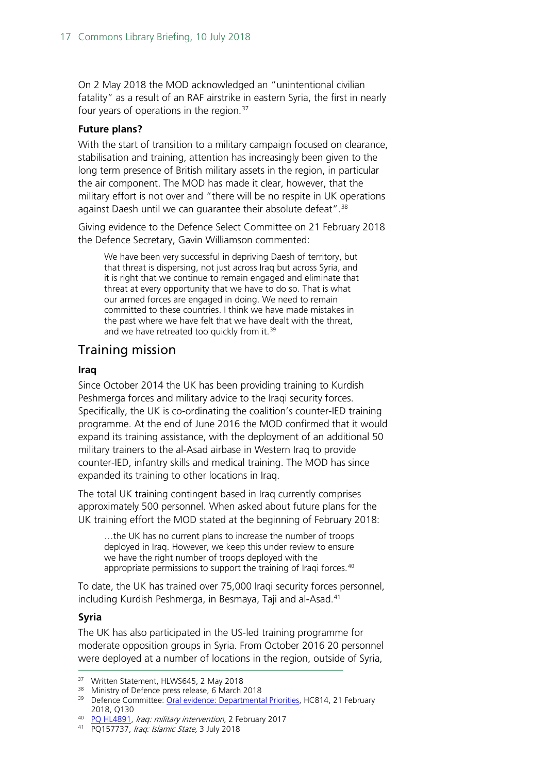On 2 May 2018 the MOD acknowledged an "unintentional civilian fatality" as a result of an RAF airstrike in eastern Syria, the first in nearly four years of operations in the region.<sup>[37](#page-16-0)</sup>

#### **Future plans?**

With the start of transition to a military campaign focused on clearance, stabilisation and training, attention has increasingly been given to the long term presence of British military assets in the region, in particular the air component. The MOD has made it clear, however, that the military effort is not over and "there will be no respite in UK operations against Daesh until we can quarantee their absolute defeat".<sup>[38](#page-16-1)</sup>

Giving evidence to the Defence Select Committee on 21 February 2018 the Defence Secretary, Gavin Williamson commented:

We have been very successful in depriving Daesh of territory, but that threat is dispersing, not just across Iraq but across Syria, and it is right that we continue to remain engaged and eliminate that threat at every opportunity that we have to do so. That is what our armed forces are engaged in doing. We need to remain committed to these countries. I think we have made mistakes in the past where we have felt that we have dealt with the threat, and we have retreated too quickly from it.<sup>[39](#page-16-2)</sup>

#### Training mission

#### **Iraq**

Since October 2014 the UK has been providing training to Kurdish Peshmerga forces and military advice to the Iraqi security forces. Specifically, the UK is co-ordinating the coalition's counter-IED training programme. At the end of June 2016 the MOD confirmed that it would expand its training assistance, with the deployment of an additional 50 military trainers to the al-Asad airbase in Western Iraq to provide counter-IED, infantry skills and medical training. The MOD has since expanded its training to other locations in Iraq.

The total UK training contingent based in Iraq currently comprises approximately 500 personnel. When asked about future plans for the UK training effort the MOD stated at the beginning of February 2018:

…the UK has no current plans to increase the number of troops deployed in Iraq. However, we keep this under review to ensure we have the right number of troops deployed with the appropriate permissions to support the training of Iraqi forces.<sup>[40](#page-16-3)</sup>

To date, the UK has trained over 75,000 Iraqi security forces personnel, including Kurdish Peshmerga, in Besmaya, Taji and al-Asad.<sup>[41](#page-16-4)</sup>

#### **Syria**

The UK has also participated in the US-led training programme for moderate opposition groups in Syria. From October 2016 20 personnel were deployed at a number of locations in the region, outside of Syria,

<span id="page-16-2"></span>

<span id="page-16-1"></span><span id="page-16-0"></span><sup>&</sup>lt;sup>37</sup> Written Statement, HLWS645, 2 May 2018<br><sup>38</sup> Ministry of Defence press release, 6 March 2018<br><sup>39</sup> Defence Committee: <u>Oral evidence: Departmental Priorities</u>, HC814, 21 February 2018, Q130<br><sup>40</sup> PQ HL4891, *Iraq: military intervention*, 2 February 2017

<span id="page-16-4"></span><span id="page-16-3"></span><sup>41</sup> PQ 157737, Iraq: Islamic State, 3 July 2018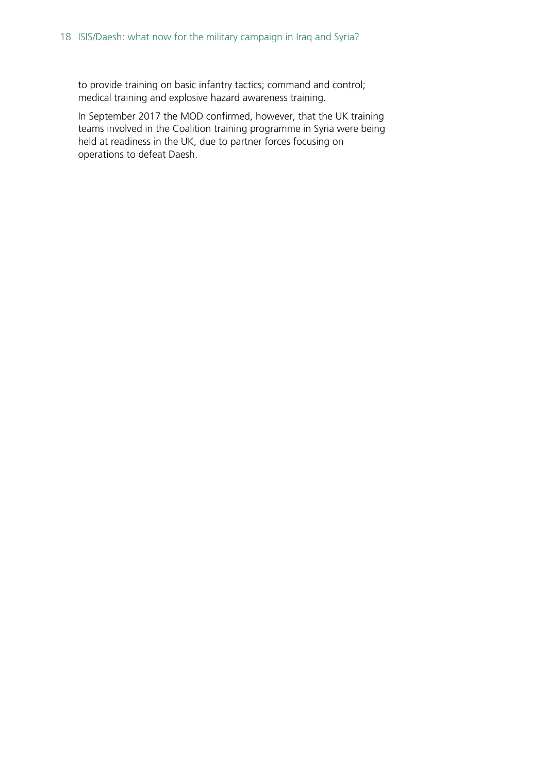to provide training on basic infantry tactics; command and control; medical training and explosive hazard awareness training.

In September 2017 the MOD confirmed, however, that the UK training teams involved in the Coalition training programme in Syria were being held at readiness in the UK, due to partner forces focusing on operations to defeat Daesh.